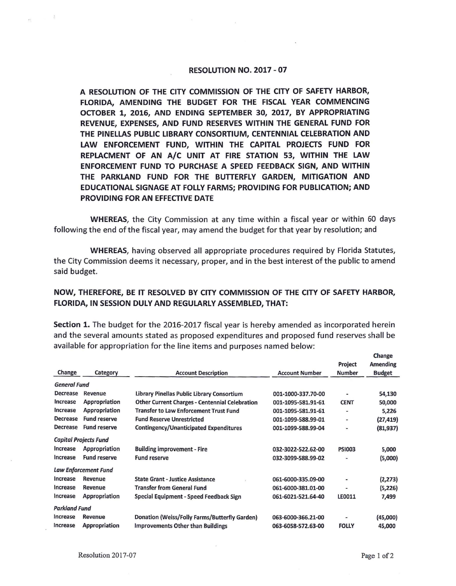## **RESOLUTION NO. 2017 -07**

**A RESOLUTION OF THE CITY COMMISSION OF THE CITY OF SAFETY HARBOR, FLORIDA, AMENDING THE BUDGET FOR THE FISCAL YEAR COMMENCING OCTOBER 1, 2016, AND ENDING SEPTEMBER 30, 2017, BY APPROPRIATING REVENUE, EXPENSES, AND FUND RESERVES WITHIN THE GENERAL FUND FOR THE PINELLAS PUBLIC LIBRARY CONSORTIUM, CENTENNIAL CELEBRATION AND LAW ENFORCEMENT FUND, WITHIN THE CAPITAL PROJECTS FUND FOR REPLACMENT OF AN A/C UNIT AT FIRE STATION 53, WITHIN THE LAW ENFORCEMENT FUND TO PURCHASE A SPEED FEEDBACK SIGN, AND WITHIN THE PARKLAND FUND FOR THE BUTTERFLY GARDEN, MITIGATION AND EDUCATIONAL SIGNAGE AT FOLLY FARMS; PROVIDING FOR PUBLICATION; AND PROVIDING FOR AN EFFECTIVE DATE** 

**WHEREAS,** the City Commission at any time within a fiscal year or within 60 days following the end of the fiscal year, may amend the budget for that year by resolution; and

**WHEREAS,** having observed all appropriate procedures required by Florida Statutes, the City Commission deems it necessary, proper, and in the best interest of the public to amend said budget.

## **NOW, THEREFORE, BE** IT **RESOLVED BY CITY COMMISSION OF THE CITY OF SAFETY HARBOR, FLORIDA, IN SESSION DULY AND REGULARLY ASSEMBLED, THAT:**

**Section 1.** The budget for the 2016-2017 fiscal year is hereby amended as incorporated herein and the several amounts stated as proposed expenditures and proposed fund reserves shall be available for appropriation for the line items and purposes named below:

|                              |                     |                                                       |                       | Project        | Amending      |
|------------------------------|---------------------|-------------------------------------------------------|-----------------------|----------------|---------------|
| Change                       | Category            | <b>Account Description</b>                            | <b>Account Number</b> | <b>Number</b>  | <b>Budget</b> |
| <b>General Fund</b>          |                     |                                                       |                       |                |               |
| Decrease                     | Revenue             | Library Pinellas Public Library Consortium            | 001-1000-337.70-00    |                | 54,130        |
| Increase                     | Appropriation       | <b>Other Current Charges - Centennial Celebration</b> | 001-1095-581.91-61    | <b>CENT</b>    | 50,000        |
| Increase                     | Appropriation       | <b>Transfer to Law Enforcement Trust Fund</b>         | 001-1095-581.91-61    | ۰              | 5,226         |
| <b>Decrease</b>              | <b>Fund reserve</b> | <b>Fund Reserve Unrestricted</b>                      | 001-1099-588.99-01    |                | (27, 419)     |
| Decrease                     | <b>Fund reserve</b> | <b>Contingency/Unanticipated Expenditures</b>         | 001-1099-588.99-04    | $\blacksquare$ | (81, 937)     |
| <b>Capital Projects Fund</b> |                     |                                                       |                       |                |               |
| Increase                     | Appropriation       | <b>Building improvement - Fire</b>                    | 032-3022-522.62-00    | <b>PSI003</b>  | 5,000         |
| Increase                     | <b>Fund reserve</b> | <b>Fund reserve</b>                                   | 032-3099-588.99-02    |                | (5,000)       |
| <b>Law Enforcement Fund</b>  |                     |                                                       |                       |                |               |
| Increase                     | Revenue             | <b>State Grant - Justice Assistance</b>               | 061-6000-335.09-00    | $\blacksquare$ | (2, 273)      |
| Increase                     | Revenue             | <b>Transfer from General Fund</b>                     | 061-6000-381.01-00    | ۰              | (5,226)       |
| Increase                     | Appropriation       | Special Equipment - Speed Feedback Sign               | 061-6021-521.64-40    | LE0011         | 7,499         |
| <b>Parkland Fund</b>         |                     |                                                       |                       |                |               |
| Increase                     | Revenue             | Donation (Weiss/Folly Farms/Butterfly Garden)         | 063-6000-366.21-00    |                | (45,000)      |
| Increase                     | Appropriation       | <b>Improvements Other than Buildings</b>              | 063-6058-572.63-00    | <b>FOLLY</b>   | 45,000        |

**Change**